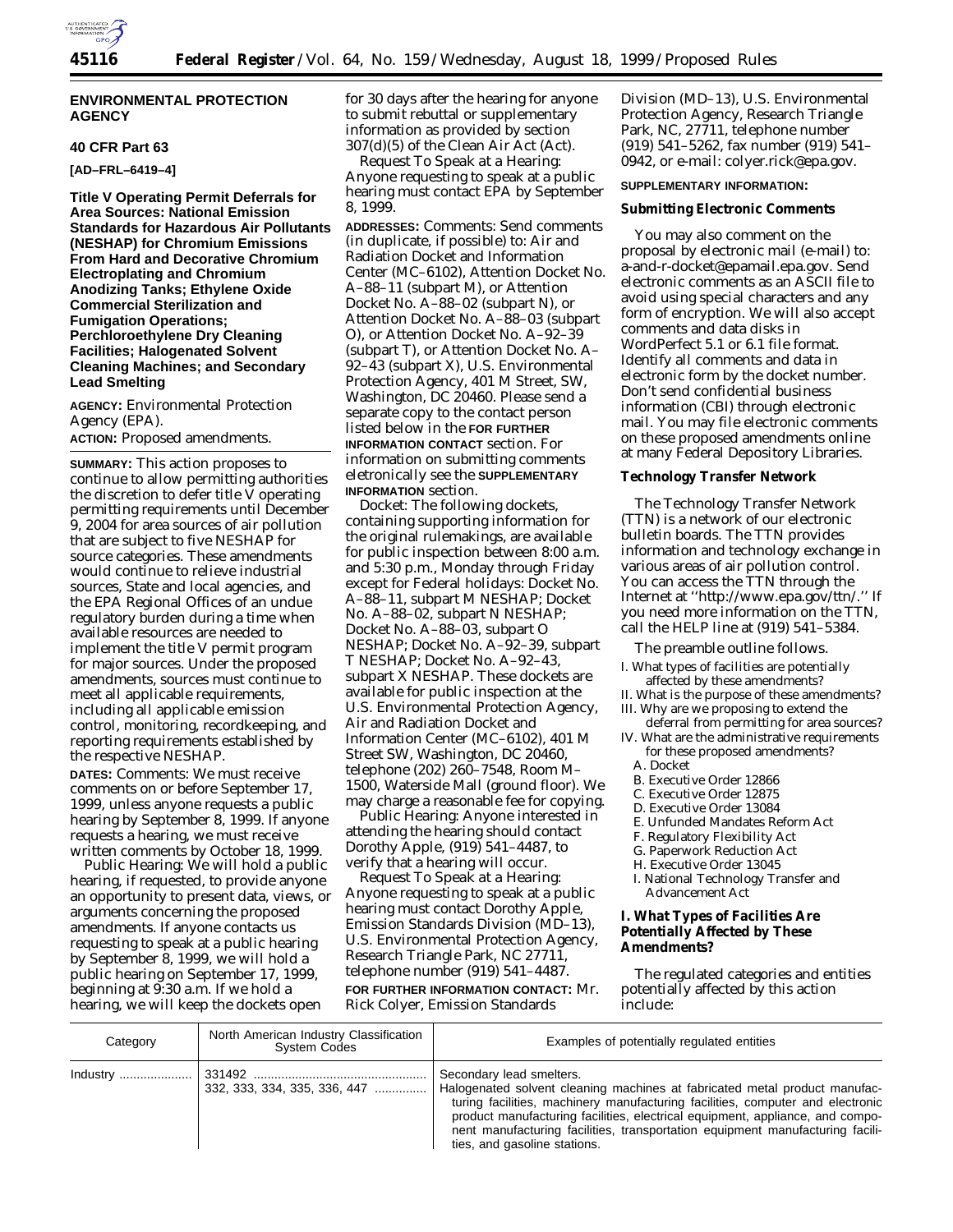

## **ENVIRONMENTAL PROTECTION AGENCY**

#### **40 CFR Part 63**

**[AD–FRL–6419–4]**

**Title V Operating Permit Deferrals for Area Sources: National Emission Standards for Hazardous Air Pollutants (NESHAP) for Chromium Emissions From Hard and Decorative Chromium Electroplating and Chromium Anodizing Tanks; Ethylene Oxide Commercial Sterilization and Fumigation Operations; Perchloroethylene Dry Cleaning Facilities; Halogenated Solvent Cleaning Machines; and Secondary Lead Smelting**

**AGENCY:** Environmental Protection Agency (EPA).

**ACTION:** Proposed amendments.

**SUMMARY:** This action proposes to continue to allow permitting authorities the discretion to defer title V operating permitting requirements until December 9, 2004 for area sources of air pollution that are subject to five NESHAP for source categories. These amendments would continue to relieve industrial sources, State and local agencies, and the EPA Regional Offices of an undue regulatory burden during a time when available resources are needed to implement the title V permit program for major sources. Under the proposed amendments, sources must continue to meet all applicable requirements, including all applicable emission control, monitoring, recordkeeping, and reporting requirements established by the respective NESHAP.

**DATES:** *Comments:* We must receive comments on or before September 17, 1999, unless anyone requests a public hearing by September 8, 1999. If anyone requests a hearing, we must receive written comments by October 18, 1999.

*Public Hearing:* We will hold a public hearing, if requested, to provide anyone an opportunity to present data, views, or arguments concerning the proposed amendments. If anyone contacts us requesting to speak at a public hearing by September 8, 1999, we will hold a public hearing on September 17, 1999, beginning at 9:30 a.m. If we hold a hearing, we will keep the dockets open

for 30 days after the hearing for anyone to submit rebuttal or supplementary information as provided by section 307(d)(5) of the Clean Air Act (Act).

*Request To Speak at a Hearing:* Anyone requesting to speak at a public hearing must contact EPA by September 8, 1999.

**ADDRESSES:** *Comments:* Send comments (in duplicate, if possible) to: Air and Radiation Docket and Information Center (MC–6102), Attention Docket No. A–88–11 (subpart M), or Attention Docket No. A–88–02 (subpart N), or Attention Docket No. A–88–03 (subpart O), or Attention Docket No. A–92–39 (subpart T), or Attention Docket No. A– 92–43 (subpart X), U.S. Environmental Protection Agency, 401 M Street, SW, Washington, DC 20460. Please send a separate copy to the contact person listed below in the **FOR FURTHER INFORMATION CONTACT** section. For information on submitting comments eletronically see the **SUPPLEMENTARY INFORMATION** section.

*Docket:* The following dockets, containing supporting information for the original rulemakings, are available for public inspection between 8:00 a.m. and 5:30 p.m., Monday through Friday except for Federal holidays: Docket No. A–88–11, subpart M NESHAP; Docket No. A–88–02, subpart N NESHAP; Docket No. A–88–03, subpart O NESHAP; Docket No. A–92–39, subpart T NESHAP; Docket No. A–92–43, subpart X NESHAP. These dockets are available for public inspection at the U.S. Environmental Protection Agency, Air and Radiation Docket and Information Center (MC–6102), 401 M Street SW, Washington, DC 20460, telephone (202) 260–7548, Room M– 1500, Waterside Mall (ground floor). We may charge a reasonable fee for copying.

*Public Hearing:* Anyone interested in attending the hearing should contact Dorothy Apple, (919) 541–4487, to verify that a hearing will occur.

*Request To Speak at a Hearing:* Anyone requesting to speak at a public hearing must contact Dorothy Apple, Emission Standards Division (MD–13), U.S. Environmental Protection Agency, Research Triangle Park, NC 27711, telephone number (919) 541–4487. **FOR FURTHER INFORMATION CONTACT:** Mr. Rick Colyer, Emission Standards

Division (MD–13), U.S. Environmental Protection Agency, Research Triangle Park, NC, 27711, telephone number (919) 541–5262, fax number (919) 541– 0942, or e-mail: colyer.rick@epa.gov.

# **SUPPLEMENTARY INFORMATION:**

## **Submitting Electronic Comments**

You may also comment on the proposal by electronic mail (e-mail) to: a-and-r-docket@epamail.epa.gov. Send electronic comments as an ASCII file to avoid using special characters and any form of encryption. We will also accept comments and data disks in WordPerfect 5.1 or 6.1 file format. Identify all comments and data in electronic form by the docket number. Don't send confidential business information (CBI) through electronic mail. You may file electronic comments on these proposed amendments online at many Federal Depository Libraries.

## **Technology Transfer Network**

The Technology Transfer Network (TTN) is a network of our electronic bulletin boards. The TTN provides information and technology exchange in various areas of air pollution control. You can access the TTN through the Internet at ''http://www.epa.gov/ttn/.'' If you need more information on the TTN, call the HELP line at (919) 541–5384.

The preamble outline follows.

- I. What types of facilities are potentially affected by these amendments?
- II. What is the purpose of these amendments? III. Why are we proposing to extend the
- deferral from permitting for area sources? IV. What are the administrative requirements
	- for these proposed amendments? A. Docket
		-
	- B. Executive Order 12866 C. Executive Order 12875
	-
	- D. Executive Order 13084
	- E. Unfunded Mandates Reform Act
	- F. Regulatory Flexibility Act
	- G. Paperwork Reduction Act
	- H. Executive Order 13045
	- I. National Technology Transfer and Advancement Act

## **I. What Types of Facilities Are Potentially Affected by These Amendments?**

The regulated categories and entities potentially affected by this action include:

| Category | North American Industry Classification<br>System Codes | Examples of potentially regulated entities                                                                                                                                                                                                                                                                                                                                                 |
|----------|--------------------------------------------------------|--------------------------------------------------------------------------------------------------------------------------------------------------------------------------------------------------------------------------------------------------------------------------------------------------------------------------------------------------------------------------------------------|
|          | $332, 333, 334, 335, 336, 447$                         | Secondary lead smelters.<br>Halogenated solvent cleaning machines at fabricated metal product manufac-<br>turing facilities, machinery manufacturing facilities, computer and electronic<br>product manufacturing facilities, electrical equipment, appliance, and compo-<br>nent manufacturing facilities, transportation equipment manufacturing facili-<br>ties, and gasoline stations. |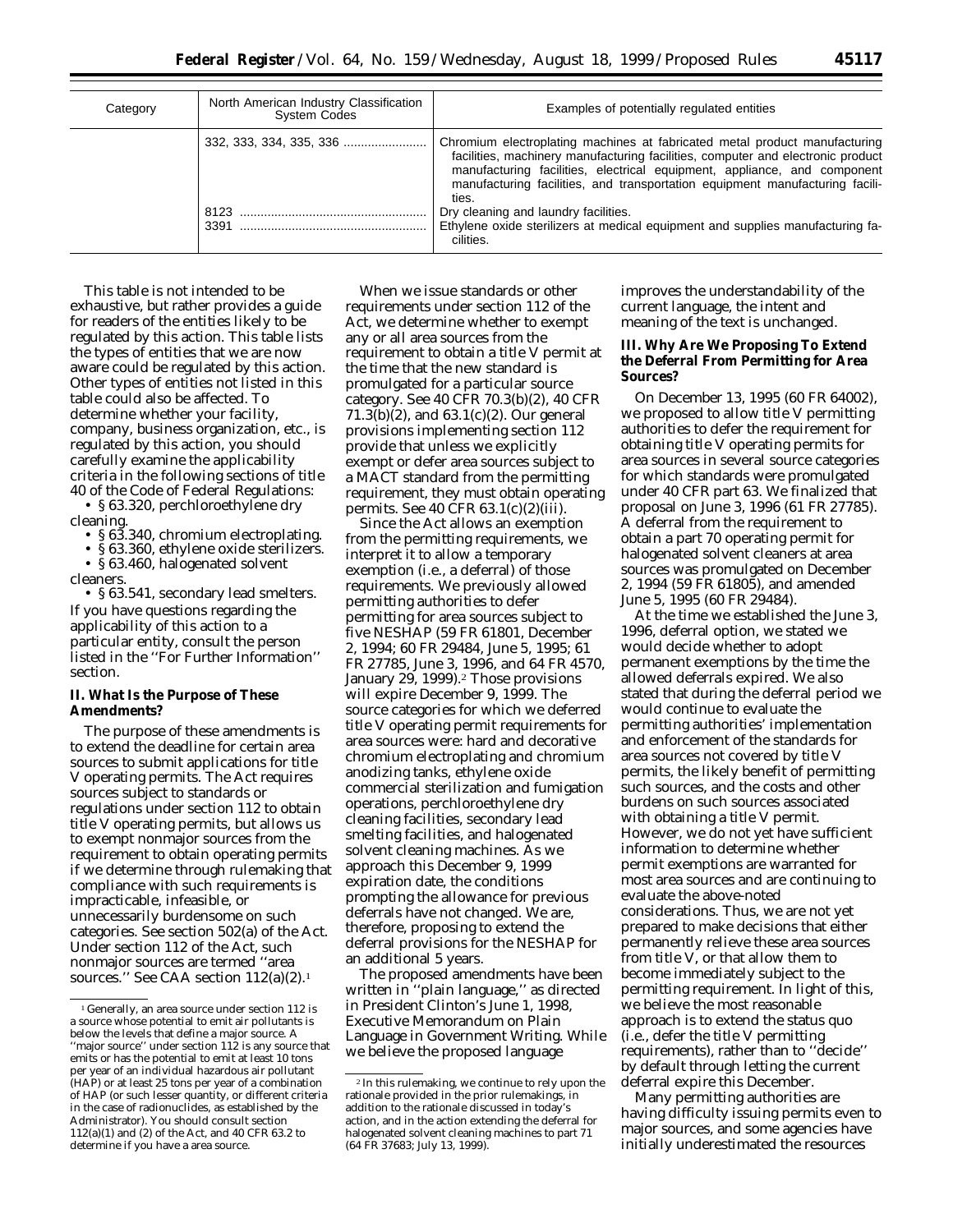| Category | North American Industry Classification<br><b>System Codes</b> | Examples of potentially regulated entities                                                                                                                                                                                                                                                                                                                                                                                                                                |
|----------|---------------------------------------------------------------|---------------------------------------------------------------------------------------------------------------------------------------------------------------------------------------------------------------------------------------------------------------------------------------------------------------------------------------------------------------------------------------------------------------------------------------------------------------------------|
|          | 8123                                                          | Chromium electroplating machines at fabricated metal product manufacturing<br>facilities, machinery manufacturing facilities, computer and electronic product<br>manufacturing facilities, electrical equipment, appliance, and component<br>manufacturing facilities, and transportation equipment manufacturing facili-<br>ties.<br>Dry cleaning and laundry facilities.<br>Ethylene oxide sterilizers at medical equipment and supplies manufacturing fa-<br>cilities. |

This table is not intended to be exhaustive, but rather provides a guide for readers of the entities likely to be regulated by this action. This table lists the types of entities that we are now aware could be regulated by this action. Other types of entities not listed in this table could also be affected. To determine whether your facility, company, business organization, etc., is regulated by this action, you should carefully examine the applicability criteria in the following sections of title 40 of the Code of Federal Regulations:

• § 63.320, perchloroethylene dry cleaning.

- § 63.340, chromium electroplating.
- § 63.360, ethylene oxide sterilizers.
- § 63.460, halogenated solvent cleaners.

• § 63.541, secondary lead smelters. If you have questions regarding the applicability of this action to a particular entity, consult the person listed in the ''For Further Information'' section.

## **II. What Is the Purpose of These Amendments?**

The purpose of these amendments is to extend the deadline for certain area sources to submit applications for title V operating permits. The Act requires sources subject to standards or regulations under section 112 to obtain title V operating permits, but allows us to exempt nonmajor sources from the requirement to obtain operating permits if we determine through rulemaking that compliance with such requirements is impracticable, infeasible, or unnecessarily burdensome on such categories. See section 502(a) of the Act. Under section 112 of the Act, such nonmajor sources are termed ''area sources." See CAA section 112(a)(2).<sup>1</sup>

When we issue standards or other requirements under section 112 of the Act, we determine whether to exempt any or all area sources from the requirement to obtain a title V permit at the time that the new standard is promulgated for a particular source category. See 40 CFR 70.3(b)(2), 40 CFR 71.3(b)(2), and 63.1(c)(2). Our general provisions implementing section 112 provide that unless we explicitly exempt or defer area sources subject to a MACT standard from the permitting requirement, they must obtain operating permits. See 40 CFR 63.1(c)(2)(iii).

Since the Act allows an exemption from the permitting requirements, we interpret it to allow a temporary exemption (i.e., a deferral) of those requirements. We previously allowed permitting authorities to defer permitting for area sources subject to five NESHAP (59 FR 61801, December 2, 1994; 60 FR 29484, June 5, 1995; 61 FR 27785, June 3, 1996, and 64 FR 4570, January 29, 1999).<sup>2</sup> Those provisions will expire December 9, 1999. The source categories for which we deferred title V operating permit requirements for area sources were: hard and decorative chromium electroplating and chromium anodizing tanks, ethylene oxide commercial sterilization and fumigation operations, perchloroethylene dry cleaning facilities, secondary lead smelting facilities, and halogenated solvent cleaning machines. As we approach this December 9, 1999 expiration date, the conditions prompting the allowance for previous deferrals have not changed. We are, therefore, proposing to extend the deferral provisions for the NESHAP for an additional 5 years.

The proposed amendments have been written in ''plain language,'' as directed in President Clinton's June 1, 1998, Executive Memorandum on Plain Language in Government Writing. While we believe the proposed language

improves the understandability of the current language, the intent and meaning of the text is unchanged.

## **III. Why Are We Proposing To Extend the Deferral From Permitting for Area Sources?**

On December 13, 1995 (60 FR 64002), we proposed to allow title V permitting authorities to defer the requirement for obtaining title V operating permits for area sources in several source categories for which standards were promulgated under 40 CFR part 63. We finalized that proposal on June 3, 1996 (61 FR 27785). A deferral from the requirement to obtain a part 70 operating permit for halogenated solvent cleaners at area sources was promulgated on December 2, 1994 (59 FR 61805), and amended June 5, 1995 (60 FR 29484).

At the time we established the June 3, 1996, deferral option, we stated we would decide whether to adopt permanent exemptions by the time the allowed deferrals expired. We also stated that during the deferral period we would continue to evaluate the permitting authorities' implementation and enforcement of the standards for area sources not covered by title V permits, the likely benefit of permitting such sources, and the costs and other burdens on such sources associated with obtaining a title V permit. However, we do not yet have sufficient information to determine whether permit exemptions are warranted for most area sources and are continuing to evaluate the above-noted considerations. Thus, we are not yet prepared to make decisions that either permanently relieve these area sources from title V, or that allow them to become immediately subject to the permitting requirement. In light of this, we believe the most reasonable approach is to extend the status quo (i.e., defer the title V permitting requirements), rather than to ''decide'' by default through letting the current deferral expire this December.

Many permitting authorities are having difficulty issuing permits even to major sources, and some agencies have initially underestimated the resources

<sup>&</sup>lt;sup>1</sup> Generally, an area source under section 112 is a source whose potential to emit air pollutants is below the levels that define a major source. A ''major source'' under section 112 is any source that emits or has the potential to emit at least 10 tons per year of an individual hazardous air pollutant (HAP) or at least 25 tons per year of a combination of HAP (or such lesser quantity, or different criteria in the case of radionuclides, as established by the Administrator). You should consult section 112(a)(1) and (2) of the Act, and 40 CFR 63.2 to determine if you have a area source.

<sup>2</sup> In this rulemaking, we continue to rely upon the rationale provided in the prior rulemakings, in addition to the rationale discussed in today's action, and in the action extending the deferral for halogenated solvent cleaning machines to part 71 (64 FR 37683; July 13, 1999).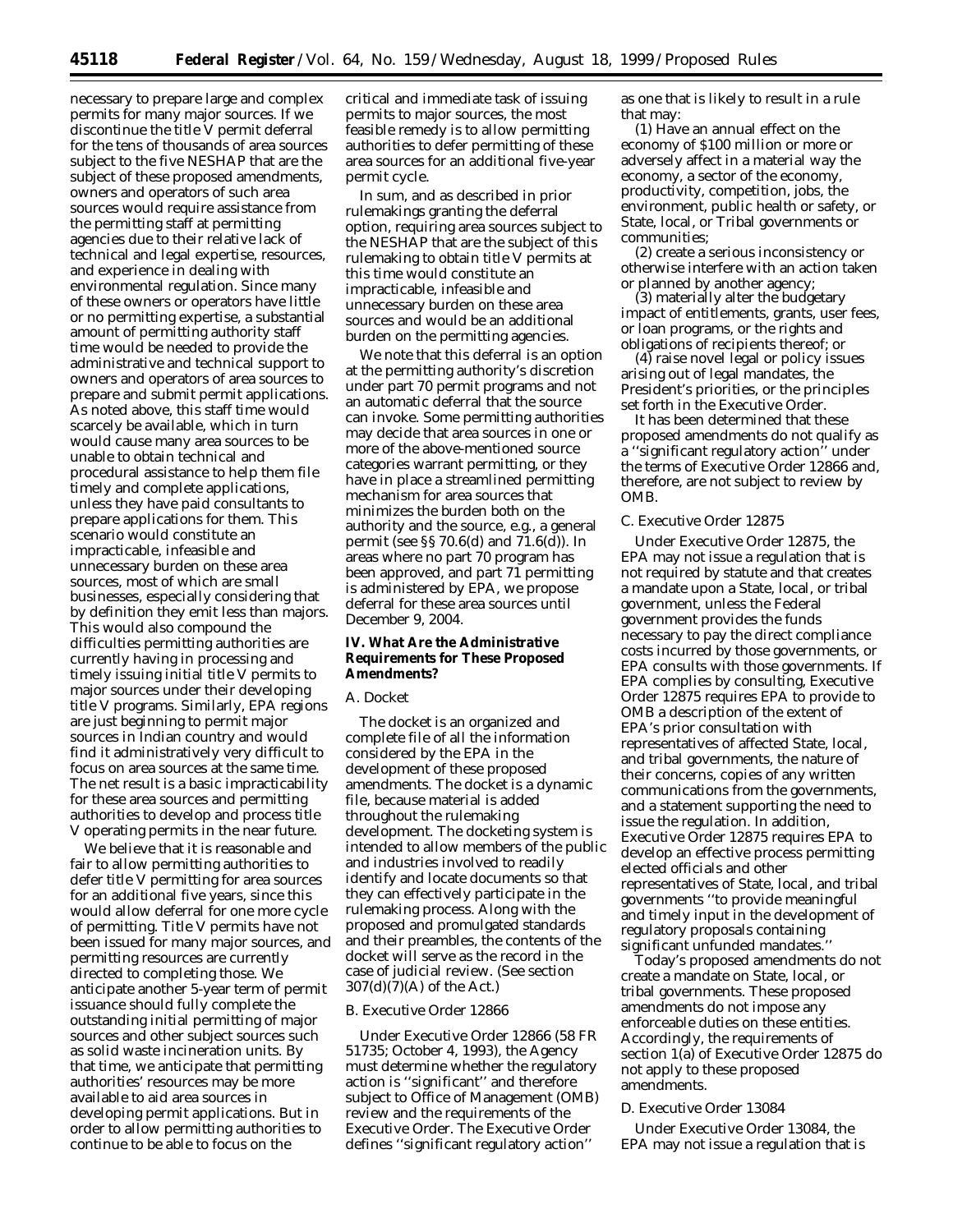necessary to prepare large and complex permits for many major sources. If we discontinue the title V permit deferral for the tens of thousands of area sources subject to the five NESHAP that are the subject of these proposed amendments, owners and operators of such area sources would require assistance from the permitting staff at permitting agencies due to their relative lack of technical and legal expertise, resources, and experience in dealing with environmental regulation. Since many of these owners or operators have little or no permitting expertise, a substantial amount of permitting authority staff time would be needed to provide the administrative and technical support to owners and operators of area sources to prepare and submit permit applications. As noted above, this staff time would scarcely be available, which in turn would cause many area sources to be unable to obtain technical and procedural assistance to help them file timely and complete applications, unless they have paid consultants to prepare applications for them. This scenario would constitute an impracticable, infeasible and unnecessary burden on these area sources, most of which are small businesses, especially considering that by definition they emit less than majors. This would also compound the difficulties permitting authorities are currently having in processing and timely issuing initial title V permits to major sources under their developing title V programs. Similarly, EPA regions are just beginning to permit major sources in Indian country and would find it administratively very difficult to focus on area sources at the same time. The net result is a basic impracticability for these area sources and permitting authorities to develop and process title V operating permits in the near future.

We believe that it is reasonable and fair to allow permitting authorities to defer title V permitting for area sources for an additional five years, since this would allow deferral for one more cycle of permitting. Title V permits have not been issued for many major sources, and permitting resources are currently directed to completing those. We anticipate another 5-year term of permit issuance should fully complete the outstanding initial permitting of major sources and other subject sources such as solid waste incineration units. By that time, we anticipate that permitting authorities' resources may be more available to aid area sources in developing permit applications. But in order to allow permitting authorities to continue to be able to focus on the

critical and immediate task of issuing permits to major sources, the most feasible remedy is to allow permitting authorities to defer permitting of these area sources for an additional five-year permit cycle.

In sum, and as described in prior rulemakings granting the deferral option, requiring area sources subject to the NESHAP that are the subject of this rulemaking to obtain title V permits at this time would constitute an impracticable, infeasible and unnecessary burden on these area sources and would be an additional burden on the permitting agencies.

We note that this deferral is an option at the permitting authority's discretion under part 70 permit programs and not an automatic deferral that the source can invoke. Some permitting authorities may decide that area sources in one or more of the above-mentioned source categories warrant permitting, or they have in place a streamlined permitting mechanism for area sources that minimizes the burden both on the authority and the source, e.g., a general permit (see §§ 70.6(d) and 71.6(d)). In areas where no part 70 program has been approved, and part 71 permitting is administered by EPA, we propose deferral for these area sources until December 9, 2004.

## **IV. What Are the Administrative Requirements for These Proposed Amendments?**

#### *A. Docket*

The docket is an organized and complete file of all the information considered by the EPA in the development of these proposed amendments. The docket is a dynamic file, because material is added throughout the rulemaking development. The docketing system is intended to allow members of the public and industries involved to readily identify and locate documents so that they can effectively participate in the rulemaking process. Along with the proposed and promulgated standards and their preambles, the contents of the docket will serve as the record in the case of judicial review. (See section 307(d)(7)(A) of the Act.)

#### *B. Executive Order 12866*

Under Executive Order 12866 (58 FR 51735; October 4, 1993), the Agency must determine whether the regulatory action is ''significant'' and therefore subject to Office of Management (OMB) review and the requirements of the Executive Order. The Executive Order defines ''significant regulatory action''

as one that is likely to result in a rule that may:

(1) Have an annual effect on the economy of \$100 million or more or adversely affect in a material way the economy, a sector of the economy, productivity, competition, jobs, the environment, public health or safety, or State, local, or Tribal governments or communities;

(2) create a serious inconsistency or otherwise interfere with an action taken or planned by another agency;

(3) materially alter the budgetary impact of entitlements, grants, user fees, or loan programs, or the rights and obligations of recipients thereof; or

(4) raise novel legal or policy issues arising out of legal mandates, the President's priorities, or the principles set forth in the Executive Order.

It has been determined that these proposed amendments do not qualify as a ''significant regulatory action'' under the terms of Executive Order 12866 and, therefore, are not subject to review by OMB.

## *C. Executive Order 12875*

Under Executive Order 12875, the EPA may not issue a regulation that is not required by statute and that creates a mandate upon a State, local, or tribal government, unless the Federal government provides the funds necessary to pay the direct compliance costs incurred by those governments, or EPA consults with those governments. If EPA complies by consulting, Executive Order 12875 requires EPA to provide to OMB a description of the extent of EPA's prior consultation with representatives of affected State, local, and tribal governments, the nature of their concerns, copies of any written communications from the governments, and a statement supporting the need to issue the regulation. In addition, Executive Order 12875 requires EPA to develop an effective process permitting elected officials and other representatives of State, local, and tribal governments ''to provide meaningful and timely input in the development of regulatory proposals containing significant unfunded mandates.''

Today's proposed amendments do not create a mandate on State, local, or tribal governments. These proposed amendments do not impose any enforceable duties on these entities. Accordingly, the requirements of section 1(a) of Executive Order 12875 do not apply to these proposed amendments.

#### *D. Executive Order 13084*

Under Executive Order 13084, the EPA may not issue a regulation that is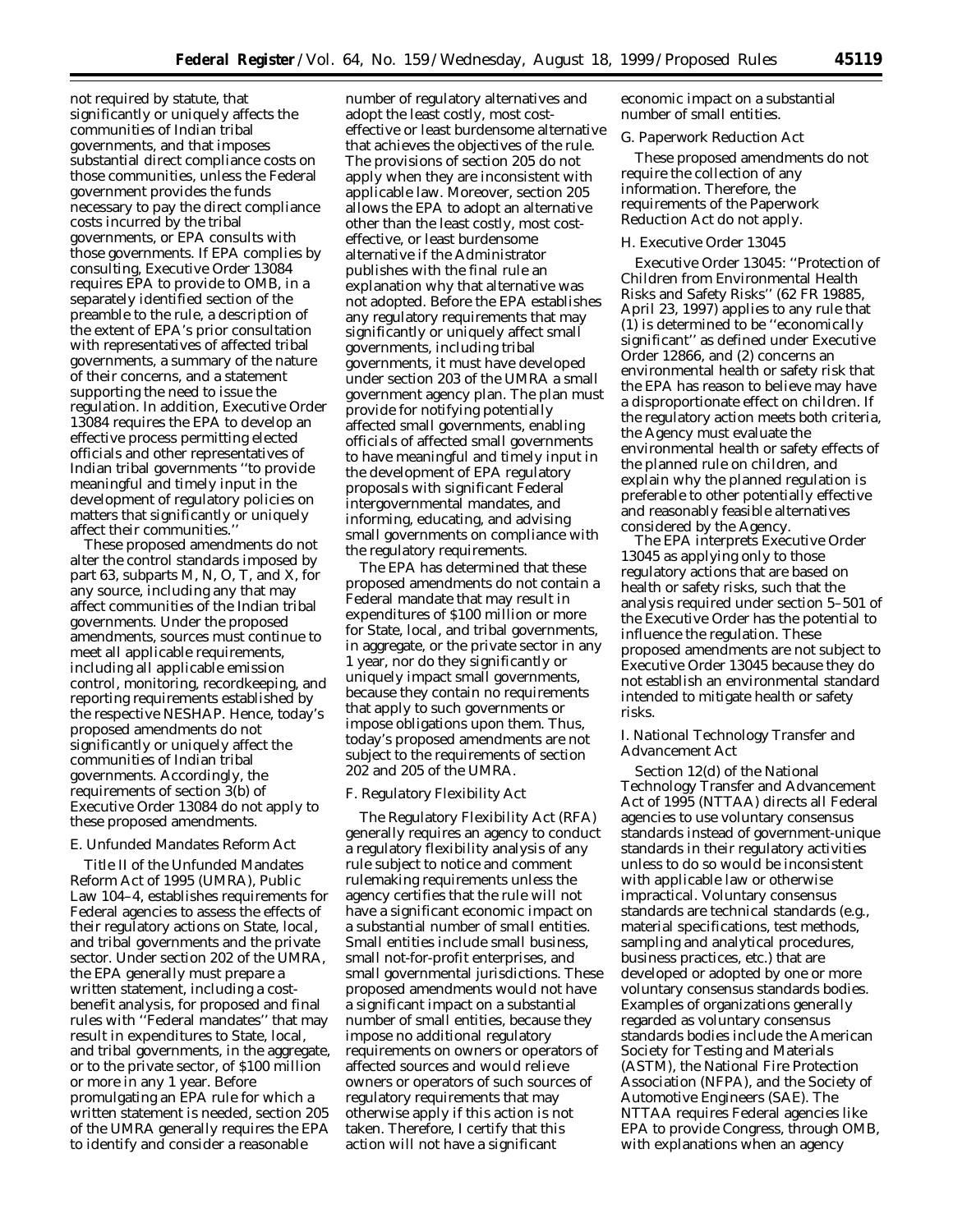not required by statute, that significantly or uniquely affects the communities of Indian tribal governments, and that imposes substantial direct compliance costs on those communities, unless the Federal government provides the funds necessary to pay the direct compliance costs incurred by the tribal governments, or EPA consults with those governments. If EPA complies by consulting, Executive Order 13084 requires EPA to provide to OMB, in a separately identified section of the preamble to the rule, a description of the extent of EPA's prior consultation with representatives of affected tribal governments, a summary of the nature of their concerns, and a statement supporting the need to issue the regulation. In addition, Executive Order 13084 requires the EPA to develop an effective process permitting elected officials and other representatives of Indian tribal governments ''to provide meaningful and timely input in the development of regulatory policies on matters that significantly or uniquely affect their communities.''

These proposed amendments do not alter the control standards imposed by part 63, subparts M, N, O, T, and X, for any source, including any that may affect communities of the Indian tribal governments. Under the proposed amendments, sources must continue to meet all applicable requirements, including all applicable emission control, monitoring, recordkeeping, and reporting requirements established by the respective NESHAP. Hence, today's proposed amendments do not significantly or uniquely affect the communities of Indian tribal governments. Accordingly, the requirements of section 3(b) of Executive Order 13084 do not apply to these proposed amendments.

# *E. Unfunded Mandates Reform Act*

Title II of the Unfunded Mandates Reform Act of 1995 (UMRA), Public Law 104–4, establishes requirements for Federal agencies to assess the effects of their regulatory actions on State, local, and tribal governments and the private sector. Under section 202 of the UMRA, the EPA generally must prepare a written statement, including a costbenefit analysis, for proposed and final rules with ''Federal mandates'' that may result in expenditures to State, local, and tribal governments, in the aggregate, or to the private sector, of \$100 million or more in any 1 year. Before promulgating an EPA rule for which a written statement is needed, section 205 of the UMRA generally requires the EPA to identify and consider a reasonable

number of regulatory alternatives and adopt the least costly, most costeffective or least burdensome alternative that achieves the objectives of the rule. The provisions of section 205 do not apply when they are inconsistent with applicable law. Moreover, section 205 allows the EPA to adopt an alternative other than the least costly, most costeffective, or least burdensome alternative if the Administrator publishes with the final rule an explanation why that alternative was not adopted. Before the EPA establishes any regulatory requirements that may significantly or uniquely affect small governments, including tribal governments, it must have developed under section 203 of the UMRA a small government agency plan. The plan must provide for notifying potentially affected small governments, enabling officials of affected small governments to have meaningful and timely input in the development of EPA regulatory proposals with significant Federal intergovernmental mandates, and informing, educating, and advising small governments on compliance with the regulatory requirements.

The EPA has determined that these proposed amendments do not contain a Federal mandate that may result in expenditures of \$100 million or more for State, local, and tribal governments, in aggregate, or the private sector in any 1 year, nor do they significantly or uniquely impact small governments, because they contain no requirements that apply to such governments or impose obligations upon them. Thus, today's proposed amendments are not subject to the requirements of section 202 and 205 of the UMRA.

#### *F. Regulatory Flexibility Act*

The Regulatory Flexibility Act (RFA) generally requires an agency to conduct a regulatory flexibility analysis of any rule subject to notice and comment rulemaking requirements unless the agency certifies that the rule will not have a significant economic impact on a substantial number of small entities. Small entities include small business, small not-for-profit enterprises, and small governmental jurisdictions. These proposed amendments would not have a significant impact on a substantial number of small entities, because they impose no additional regulatory requirements on owners or operators of affected sources and would relieve owners or operators of such sources of regulatory requirements that may otherwise apply if this action is not taken. Therefore, I certify that this action will not have a significant

economic impact on a substantial number of small entities.

#### *G. Paperwork Reduction Act*

These proposed amendments do not require the collection of any information. Therefore, the requirements of the Paperwork Reduction Act do not apply.

#### *H. Executive Order 13045*

Executive Order 13045: ''Protection of Children from Environmental Health Risks and Safety Risks'' (62 FR 19885, April 23, 1997) applies to any rule that (1) is determined to be ''economically significant'' as defined under Executive Order 12866, and (2) concerns an environmental health or safety risk that the EPA has reason to believe may have a disproportionate effect on children. If the regulatory action meets both criteria, the Agency must evaluate the environmental health or safety effects of the planned rule on children, and explain why the planned regulation is preferable to other potentially effective and reasonably feasible alternatives considered by the Agency.

The EPA interprets Executive Order 13045 as applying only to those regulatory actions that are based on health or safety risks, such that the analysis required under section 5–501 of the Executive Order has the potential to influence the regulation. These proposed amendments are not subject to Executive Order 13045 because they do not establish an environmental standard intended to mitigate health or safety risks.

## *I. National Technology Transfer and Advancement Act*

Section 12(d) of the National Technology Transfer and Advancement Act of 1995 (NTTAA) directs all Federal agencies to use voluntary consensus standards instead of government-unique standards in their regulatory activities unless to do so would be inconsistent with applicable law or otherwise impractical. Voluntary consensus standards are technical standards (e.g., material specifications, test methods, sampling and analytical procedures, business practices, etc.) that are developed or adopted by one or more voluntary consensus standards bodies. Examples of organizations generally regarded as voluntary consensus standards bodies include the American Society for Testing and Materials (ASTM), the National Fire Protection Association (NFPA), and the Society of Automotive Engineers (SAE). The NTTAA requires Federal agencies like EPA to provide Congress, through OMB, with explanations when an agency